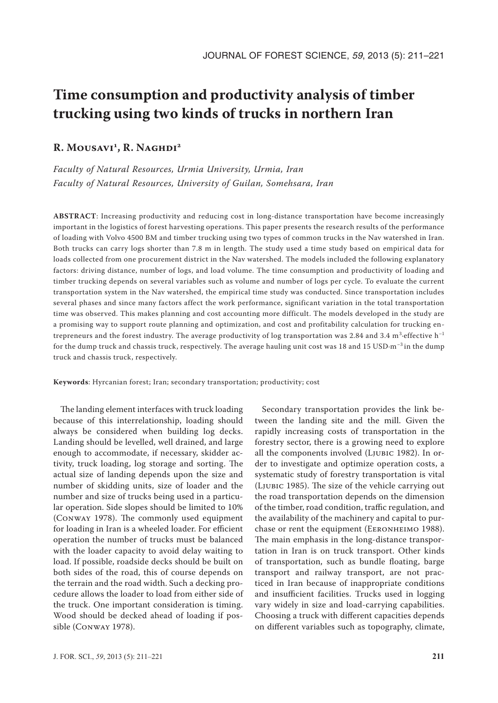# **Time consumption and productivity analysis of timber trucking using two kinds of trucks in northern Iran**

## **R. Mousavi1, R. Naghdi2**

*Faculty of Natural Resources, Urmia University, Urmia, Iran Faculty of Natural Resources, University of Guilan, Somehsara, Iran*

**ABSTRACT**: Increasing productivity and reducing cost in long-distance transportation have become increasingly important in the logistics of forest harvesting operations. This paper presents the research results of the performance of loading with Volvo 4500 BM and timber trucking using two types of common trucks in the Nav watershed in Iran. Both trucks can carry logs shorter than 7.8 m in length. The study used a time study based on empirical data for loads collected from one procurement district in the Nav watershed. The models included the following explanatory factors: driving distance, number of logs, and load volume. The time consumption and productivity of loading and timber trucking depends on several variables such as volume and number of logs per cycle. To evaluate the current transportation system in the Nav watershed, the empirical time study was conducted. Since transportation includes several phases and since many factors affect the work performance, significant variation in the total transportation time was observed. This makes planning and cost accounting more difficult. The models developed in the study are a promising way to support route planning and optimization, and cost and profitability calculation for trucking entrepreneurs and the forest industry. The average productivity of log transportation was 2.84 and 3.4 m<sup>3</sup>·effective h<sup>-1</sup> for the dump truck and chassis truck, respectively. The average hauling unit cost was 18 and 15 USD·m<sup>-3</sup> in the dump truck and chassis truck, respectively.

**Keywords**: Hyrcanian forest; Iran; secondary transportation; productivity; cost

The landing element interfaces with truck loading because of this interrelationship, loading should always be considered when building log decks. Landing should be levelled, well drained, and large enough to accommodate, if necessary, skidder activity, truck loading, log storage and sorting. The actual size of landing depends upon the size and number of skidding units, size of loader and the number and size of trucks being used in a particular operation. Side slopes should be limited to 10% (Conway 1978). The commonly used equipment for loading in Iran is a wheeled loader. For efficient operation the number of trucks must be balanced with the loader capacity to avoid delay waiting to load. If possible, roadside decks should be built on both sides of the road, this of course depends on the terrain and the road width. Such a decking procedure allows the loader to load from either side of the truck. One important consideration is timing. Wood should be decked ahead of loading if possible (Conway 1978).

Secondary transportation provides the link between the landing site and the mill. Given the rapidly increasing costs of transportation in the forestry sector, there is a growing need to explore all the components involved (Ljubic 1982). In order to investigate and optimize operation costs, a systematic study of forestry transportation is vital (Ljubic 1985). The size of the vehicle carrying out the road transportation depends on the dimension of the timber, road condition, traffic regulation, and the availability of the machinery and capital to purchase or rent the equipment (EERONHEIMO 1988). The main emphasis in the long-distance transportation in Iran is on truck transport. Other kinds of transportation, such as bundle floating, barge transport and railway transport, are not practiced in Iran because of inappropriate conditions and insufficient facilities. Trucks used in logging vary widely in size and load-carrying capabilities. Choosing a truck with different capacities depends on different variables such as topography, climate,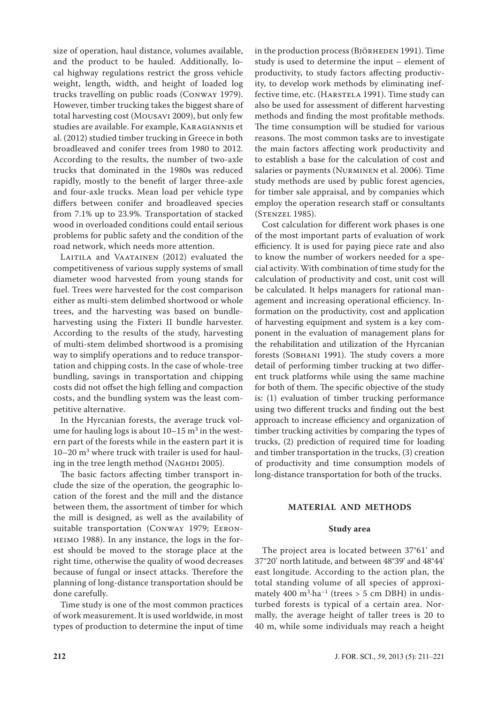size of operation, haul distance, volumes available, and the product to be hauled. Additionally, local highway regulations restrict the gross vehicle weight, length, width, and height of loaded log trucks travelling on public roads (Conway 1979). However, timber trucking takes the biggest share of total harvesting cost (Mousavi 2009), but only few studies are available. For example, Karagiannis et al. (2012) studied timber trucking in Greece in both broadleaved and conifer trees from 1980 to 2012. According to the results, the number of two-axle trucks that dominated in the 1980s was reduced rapidly, mostly to the benefit of larger three-axle and four-axle trucks. Mean load per vehicle type differs between conifer and broadleaved species from 7.1% up to 23.9%. Transportation of stacked wood in overloaded conditions could entail serious problems for public safety and the condition of the road network, which needs more attention.

LAITILA and VAATAINEN (2012) evaluated the competitiveness of various supply systems of small diameter wood harvested from young stands for fuel. Trees were harvested for the cost comparison either as multi-stem delimbed shortwood or whole trees, and the harvesting was based on bundleharvesting using the Fixteri II bundle harvester. According to the results of the study, harvesting of multi-stem delimbed shortwood is a promising way to simplify operations and to reduce transportation and chipping costs. In the case of whole-tree bundling, savings in transportation and chipping costs did not offset the high felling and compaction costs, and the bundling system was the least competitive alternative.

In the Hyrcanian forests, the average truck volume for hauling logs is about  $10-15$   $\mathrm{m}^{3}$  in the western part of the forests while in the eastern part it is  $10-20$  m<sup>3</sup> where truck with trailer is used for hauling in the tree length method (NAGHDI 2005).

The basic factors affecting timber transport include the size of the operation, the geographic location of the forest and the mill and the distance between them, the assortment of timber for which the mill is designed, as well as the availability of suitable transportation (Conway 1979; Eeronheimo 1988). In any instance, the logs in the forest should be moved to the storage place at the right time, otherwise the quality of wood decreases because of fungal or insect attacks. Therefore the planning of long-distance transportation should be done carefully.

Time study is one of the most common practices of work measurement. It is used worldwide, in most types of production to determine the input of time in the production process (BJÖRHEDEN 1991). Time study is used to determine the input – element of productivity, to study factors affecting productivity, to develop work methods by eliminating ineffective time, etc. (HARSTELA 1991). Time study can also be used for assessment of different harvesting methods and finding the most profitable methods. The time consumption will be studied for various reasons. The most common tasks are to investigate the main factors affecting work productivity and to establish a base for the calculation of cost and salaries or payments (Nurminen et al. 2006). Time study methods are used by public forest agencies, for timber sale appraisal, and by companies which employ the operation research staff or consultants (Stenzel 1985).

Cost calculation for different work phases is one of the most important parts of evaluation of work efficiency. It is used for paying piece rate and also to know the number of workers needed for a special activity. With combination of time study for the calculation of productivity and cost, unit cost will be calculated. It helps managers for rational management and increasing operational efficiency. Information on the productivity, cost and application of harvesting equipment and system is a key component in the evaluation of management plans for the rehabilitation and utilization of the Hyrcanian forests (Sobhani 1991). The study covers a more detail of performing timber trucking at two different truck platforms while using the same machine for both of them. The specific objective of the study is: (1) evaluation of timber trucking performance using two different trucks and finding out the best approach to increase efficiency and organization of timber trucking activities by comparing the types of trucks, (2) prediction of required time for loading and timber transportation in the trucks, (3) creation of productivity and time consumption models of long-distance transportation for both of the trucks.

## **MATERIAL AND METHODS**

## **Study area**

The project area is located between 37°61' and 37°20' north latitude, and between 48°39' and 48°44' east longitude. According to the action plan, the total standing volume of all species of approximately 400  $m^3$ -ha<sup>-1</sup> (trees > 5 cm DBH) in undisturbed forests is typical of a certain area. Normally, the average height of taller trees is 20 to 40 m, while some individuals may reach a height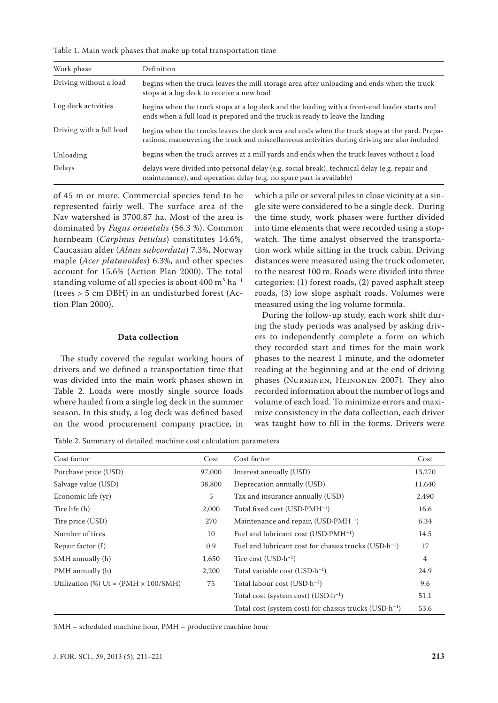Table 1. Main work phases that make up total transportation time

| Work phase               | Definition                                                                                                                                                                                    |
|--------------------------|-----------------------------------------------------------------------------------------------------------------------------------------------------------------------------------------------|
| Driving without a load   | begins when the truck leaves the mill storage area after unloading and ends when the truck<br>stops at a log deck to receive a new load                                                       |
| Log deck activities      | begins when the truck stops at a log deck and the loading with a front-end loader starts and<br>ends when a full load is prepared and the truck is ready to leave the landing                 |
| Driving with a full load | begins when the trucks leaves the deck area and ends when the truck stops at the yard. Prepa-<br>rations, maneuvering the truck and miscellaneous activities during driving are also included |
| Unloading                | begins when the truck arrives at a mill yards and ends when the truck leaves without a load                                                                                                   |
| Delays                   | delays were divided into personal delay (e.g. social break), technical delay (e.g. repair and<br>maintenance), and operation delay (e.g. no spare part is available)                          |

of 45 m or more. Commercial species tend to be represented fairly well. The surface area of the Nav watershed is 3700.87 ha. Most of the area is dominated by *Fagus orientalis* (56.3 %). Common hornbeam (*Carpinus betulus*) constitutes 14.6%, Caucasian alder (*Alnus subcordata*) 7.3%, Norway maple (*Acer platanoides*) 6.3%, and other species account for 15.6% (Action Plan 2000). The total standing volume of all species is about  $400 \text{ m}^3 \cdot \text{ha}^{-1}$ (trees > 5 cm DBH) in an undisturbed forest (Action Plan 2000).

#### **Data collection**

The study covered the regular working hours of drivers and we defined a transportation time that was divided into the main work phases shown in Table 2. Loads were mostly single source loads where hauled from a single log deck in the summer season. In this study, a log deck was defined based on the wood procurement company practice, in

which a pile or several piles in close vicinity at a single site were considered to be a single deck. During the time study, work phases were further divided into time elements that were recorded using a stopwatch. The time analyst observed the transportation work while sitting in the truck cabin. Driving distances were measured using the truck odometer, to the nearest 100 m. Roads were divided into three categories: (1) forest roads, (2) paved asphalt steep roads, (3) low slope asphalt roads. Volumes were measured using the log volume formula.

During the follow-up study, each work shift during the study periods was analysed by asking drivers to independently complete a form on which they recorded start and times for the main work phases to the nearest 1 minute, and the odometer reading at the beginning and at the end of driving phases (Nurminen, Heinonen 2007). They also recorded information about the number of logs and volume of each load. To minimize errors and maximize consistency in the data collection, each driver was taught how to fill in the forms. Drivers were

Table 2. Summary of detailed machine cost calculation parameters

| Cost factor                                 | Cost   | Cost factor                                                        | Cost   |
|---------------------------------------------|--------|--------------------------------------------------------------------|--------|
| Purchase price (USD)                        | 97,000 | Interest annually (USD)                                            | 13,270 |
| Salvage value (USD)                         | 38,800 | Deprecation annually (USD)                                         | 11,640 |
| Economic life (yr)                          | 5      | Tax and insurance annually (USD)                                   | 2,490  |
| Tire life (h)                               | 2,000  | Total fixed cost (USD-PMH <sup>-1</sup> )                          | 16.6   |
| Tire price (USD)                            | 270    | Maintenance and repair, $(USD\cdot PMH^{-1})$                      | 6.34   |
| Number of tires                             | 10     | Fuel and lubricant cost (USD-PMH <sup>-1</sup> )                   | 14.5   |
| Repair factor (f)                           | 0.9    | Fuel and lubricant cost for chassis trucks $(USD·h^{-1})$          | 17     |
| SMH annually (h)                            | 1,650  | Tire cost $(USD\cdot h^{-1})$                                      | 4      |
| PMH annually (h)                            | 2,200  | Total variable cost $(USD \cdot h^{-1})$                           | 24.9   |
| Utilization (%) Ut = $(PMH \times 100/SMH)$ | 75     | Total labour cost $(USD\cdot h^{-1})$                              | 9.6    |
|                                             |        | Total cost (system cost) $(USD \cdot h^{-1})$                      | 51.1   |
|                                             |        | Total cost (system cost) for chassis trucks (USD·h <sup>-1</sup> ) | 53.6   |

SMH – scheduled machine hour, PMH – productive machine hour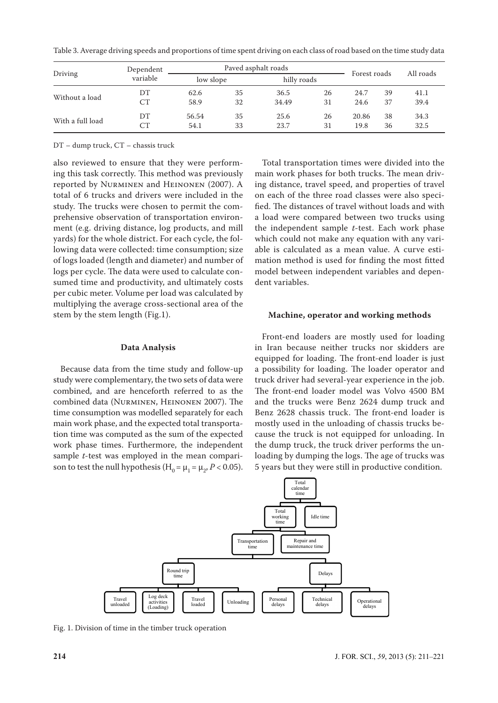Table 3. Average driving speeds and proportions of time spent driving on each class of road based on the time study data

|                  | Dependent | Paved asphalt roads |    |             |    |              |    | All roads |  |
|------------------|-----------|---------------------|----|-------------|----|--------------|----|-----------|--|
| Driving          | variable  | low slope           |    | hilly roads |    | Forest roads |    |           |  |
| Without a load   | DT        | 62.6                | 35 | 36.5        | 26 | 24.7         | 39 | 41.1      |  |
|                  | <b>CT</b> | 58.9                | 32 | 34.49       | 31 | 24.6         | 37 | 39.4      |  |
| With a full load | DT        | 56.54               | 35 | 25.6        | 26 | 20.86        | 38 | 34.3      |  |
|                  | CT        | 54.1                | 33 | 23.7        | 31 | 19.8         | 36 | 32.5      |  |

DT – dump truck, CT – chassis truck

also reviewed to ensure that they were performing this task correctly. This method was previously reported by Nurminen and Heinonen (2007). A total of 6 trucks and drivers were included in the study. The trucks were chosen to permit the comprehensive observation of transportation environment (e.g. driving distance, log products, and mill yards) for the whole district. For each cycle, the following data were collected: time consumption; size of logs loaded (length and diameter) and number of logs per cycle. The data were used to calculate consumed time and productivity, and ultimately costs per cubic meter. Volume per load was calculated by multiplying the average cross-sectional area of the stem by the stem length (Fig.1).

#### **Data Analysis**

Because data from the time study and follow-up study were complementary, the two sets of data were combined, and are henceforth referred to as the combined data (Nurminen, Heinonen 2007). The time consumption was modelled separately for each main work phase, and the expected total transportation time was computed as the sum of the expected work phase times. Furthermore, the independent sample *t*-test was employed in the mean comparison to test the null hypothesis ( $H_0 = \mu_1 = \mu_2$ ,  $P < 0.05$ ).

Total transportation times were divided into the main work phases for both trucks. The mean driving distance, travel speed, and properties of travel on each of the three road classes were also specified. The distances of travel without loads and with a load were compared between two trucks using the independent sample *t*-test. Each work phase which could not make any equation with any variable is calculated as a mean value. A curve estimation method is used for finding the most fitted model between independent variables and dependent variables.

#### **Machine, operator and working methods**

Front-end loaders are mostly used for loading in Iran because neither trucks nor skidders are equipped for loading. The front-end loader is just a possibility for loading. The loader operator and truck driver had several-year experience in the job. The front-end loader model was Volvo 4500 BM and the trucks were Benz 2624 dump truck and Benz 2628 chassis truck. The front-end loader is mostly used in the unloading of chassis trucks because the truck is not equipped for unloading. In the dump truck, the truck driver performs the unloading by dumping the logs. The age of trucks was 5 years but they were still in productive condition.



Fig. 1. Division of time in the timber truck operation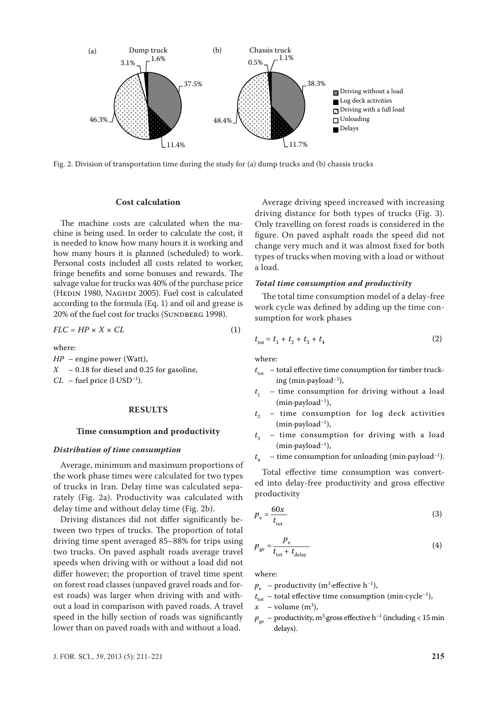

Fig. 2. Division of transportation time during the study for (a) dump trucks and (b) chassis trucks

## **Cost calculation**

The machine costs are calculated when the machine is being used. In order to calculate the cost, it is needed to know how many hours it is working and how many hours it is planned (scheduled) to work. Personal costs included all costs related to worker, fringe benefits and some bonuses and rewards. The salvage value for trucks was 40% of the purchase price (HEDIN 1980, NAGHDI 2005). Fuel cost is calculated according to the formula (Eq. 1) and oil and grease is 20% of the fuel cost for trucks (SUNDBERG 1998).

$$
FLC = HP \times X \times CL \tag{1}
$$

where:

*HP* – engine power (Watt),  $X$  – 0.18 for diesel and 0.25 for gasoline,

 $CL$  – fuel price  $(l \cdot USD^{-1})$ .

## **RESULTS**

#### **Time consumption and productivity**

#### *Distribution of time consumption*

Average, minimum and maximum proportions of the work phase times were calculated for two types of trucks in Iran. Delay time was calculated separately (Fig. 2a). Productivity was calculated with delay time and without delay time (Fig. 2b).

Driving distances did not differ significantly between two types of trucks. The proportion of total driving time spent averaged 85–88% for trips using two trucks. On paved asphalt roads average travel speeds when driving with or without a load did not differ however; the proportion of travel time spent on forest road classes (unpaved gravel roads and forest roads) was larger when driving with and without a load in comparison with paved roads. A travel speed in the hilly section of roads was significantly lower than on paved roads with and without a load.

Average driving speed increased with increasing driving distance for both types of trucks (Fig. 3). Only travelling on forest roads is considered in the figure. On paved asphalt roads the speed did not change very much and it was almost fixed for both types of trucks when moving with a load or without a load.

## *Total time consumption and productivity*

The total time consumption model of a delay-free work cycle was defined by adding up the time consumption for work phases

$$
t_{\text{tot}} = t_1 + t_2 + t_3 + t_4 \tag{2}
$$

where:

- $t_{\text{tot}}$  total effective time consumption for timber trucking (min·payload<sup>-1</sup>),
- $t_1$  time consumption for driving without a load  $(min\cdot$ payload<sup>-1</sup>),
- $t_2$  time consumption for log deck activities (min·payload–1),
- $t_2$  time consumption for driving with a load  $(min\cdot$ payload<sup>-1</sup>),
- $t_4$  time consumption for unloading (min·payload<sup>-1</sup>).

Total effective time consumption was converted into delay-free productivity and gross effective productivity

$$
p_e = \frac{60x}{t_{\text{tot}}} \tag{3}
$$

$$
p_{\rm ge} = \frac{p_{\rm e}}{t_{\rm tot} + t_{\rm delay}}\tag{4}
$$

where:

- $p_e$  productivity (m<sup>3</sup>·effective h<sup>-1</sup>),
- $t_{\text{tot}}$  total effective time consumption (min·cycle<sup>-1</sup>),
- $x -$ volume  $(m^3)$ ,
- $p_{\rm ge}$  productivity, m<sup>3</sup> gross effective h<sup>-1</sup> (including < 15 min delays).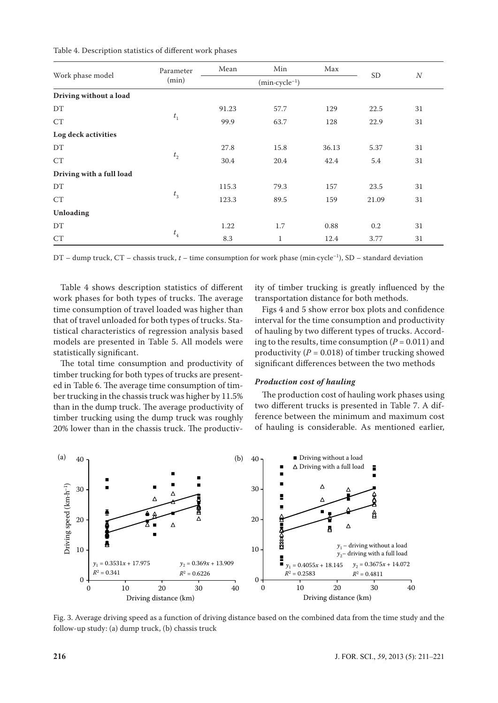| Table 4. Description statistics of different work phases |  |  |  |
|----------------------------------------------------------|--|--|--|
|----------------------------------------------------------|--|--|--|

|                          | Parameter                  | Mean  | Min                | Max   | ${\rm SD}$ |                  |
|--------------------------|----------------------------|-------|--------------------|-------|------------|------------------|
| Work phase model         | (min)                      |       | $(min-cycle^{-1})$ |       |            | $\boldsymbol{N}$ |
| Driving without a load   |                            |       |                    |       |            |                  |
| DT                       |                            | 91.23 | 57.7               | 129   | 22.5       | 31               |
| CT                       | $t_{\rm 1}$                | 99.9  | 63.7               | 128   | 22.9       | 31               |
| Log deck activities      |                            |       |                    |       |            |                  |
| DT                       |                            | 27.8  | 15.8               | 36.13 | 5.37       | 31               |
| CT                       | $t_{\rm 2}$                | 30.4  | 20.4               | 42.4  | 5.4        | 31               |
| Driving with a full load |                            |       |                    |       |            |                  |
| DT                       |                            | 115.3 | 79.3               | 157   | 23.5       | 31               |
| CT                       | $t_{3}$                    | 123.3 | 89.5               | 159   | 21.09      | 31               |
| Unloading                |                            |       |                    |       |            |                  |
| DT                       |                            | 1.22  | 1.7                | 0.88  | 0.2        | 31               |
| CT                       | $t_{\scriptscriptstyle 4}$ | 8.3   | $\mathbf{1}$       | 12.4  | 3.77       | 31               |

DT – dump truck, CT – chassis truck, *t* – time consumption for work phase (min·cycle–1), SD – standard deviation

Table 4 shows description statistics of different work phases for both types of trucks. The average time consumption of travel loaded was higher than that of travel unloaded for both types of trucks. Statistical characteristics of regression analysis based models are presented in Table 5. All models were statistically significant.

The total time consumption and productivity of timber trucking for both types of trucks are presented in Table 6. The average time consumption of timber trucking in the chassis truck was higher by 11.5% than in the dump truck. The average productivity of timber trucking using the dump truck was roughly 20% lower than in the chassis truck. The productiv-

ity of timber trucking is greatly influenced by the transportation distance for both methods.

Figs 4 and 5 show error box plots and confidence interval for the time consumption and productivity of hauling by two different types of trucks. According to the results, time consumption  $(P = 0.011)$  and productivity  $(P = 0.018)$  of timber trucking showed significant differences between the two methods

#### *Production cost of hauling*

The production cost of hauling work phases using two different trucks is presented in Table 7. A difference between the minimum and maximum cost of hauling is considerable. As mentioned earlier,



Fig. 3. Average driving speed as a function of driving distance based on the combined data from the time study and the follow-up study: (a) dump truck, (b) chassis truck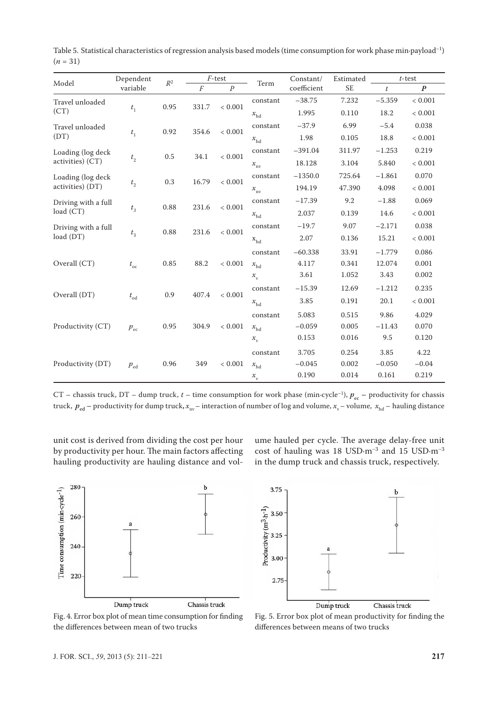|                     | $\it F\mbox{-} \rm test$<br>Dependent<br>$R^2$<br>Term |      |          | Estimated<br>Constant/ |                           |             | $t$ -test |          |                  |
|---------------------|--------------------------------------------------------|------|----------|------------------------|---------------------------|-------------|-----------|----------|------------------|
| Model               | variable                                               |      | $\cal F$ | $\cal P$               |                           | coefficient | <b>SE</b> | $t\,$    | $\boldsymbol{P}$ |
| Travel unloaded     |                                                        |      |          |                        | constant                  | $-38.75$    | 7.232     | $-5.359$ | < 0.001          |
| (CT)                | $t_{\scriptscriptstyle 1}$                             | 0.95 | 331.7    | < 0.001                | $x$ <sub>hd</sub>         | 1.995       | 0.110     | 18.2     | < 0.001          |
| Travel unloaded     |                                                        | 0.92 | 354.6    | < 0.001                | constant                  | $-37.9$     | 6.99      | $-5.4$   | 0.038            |
| (DT)                | $t_{\rm 1}$                                            |      |          |                        | $x$ <sub>hd</sub>         | 1.98        | 0.105     | 18.8     | < 0.001          |
| Loading (log deck   |                                                        | 0.5  | 34.1     | < 0.001                | constant                  | $-391.04$   | 311.97    | $-1.253$ | 0.219            |
| activities) (CT)    | $t_{2}$                                                |      |          |                        | $x_{\rm nv}$              | 18.128      | 3.104     | 5.840    | < 0.001          |
| Loading (log deck   |                                                        | 0.3  | 16.79    | < 0.001                | constant                  | $-1350.0$   | 725.64    | $-1.861$ | 0.070            |
| activities) (DT)    | $t_{2}$                                                |      |          |                        | $x_{\rm nv}$              | 194.19      | 47.390    | 4.098    | < 0.001          |
| Driving with a full | $t_{3}$                                                | 0.88 | 231.6    | < 0.001                | constant                  | $-17.39$    | 9.2       | $-1.88$  | 0.069            |
| load (CT)           |                                                        |      |          |                        | $x$ <sub>hd</sub>         | 2.037       | 0.139     | 14.6     | < 0.001          |
| Driving with a full |                                                        | 0.88 | 231.6    | < 0.001                | constant                  | $-19.7$     | 9.07      | $-2.171$ | 0.038            |
| load(DT)            | $t_{3}$                                                |      |          |                        | $X_{hd}$                  | 2.07        | 0.136     | 15.21    | < 0.001          |
|                     |                                                        |      |          |                        | constant                  | $-60.338$   | 33.91     | $-1.779$ | 0.086            |
| Overall (CT)        | $t_{\rm oc}$                                           | 0.85 | 88.2     | < 0.001                | $\mathcal{X}_{\rm hd}$    | 4.117       | 0.341     | 12.074   | 0.001            |
|                     |                                                        |      |          |                        | $\mathcal{X}_\text{v}$    | 3.61        | 1.052     | 3.43     | 0.002            |
| Overall (DT)        |                                                        | 0.9  | 407.4    | < 0.001                | constant                  | $-15.39$    | 12.69     | $-1.212$ | 0.235            |
|                     | $t_{\rm od}$                                           |      |          |                        | $x$ <sub>hd</sub>         | 3.85        | 0.191     | 20.1     | < 0.001          |
|                     |                                                        |      |          |                        | constant                  | 5.083       | 0.515     | 9.86     | 4.029            |
| Productivity (CT)   | $p_{\rm ec}$                                           | 0.95 | 304.9    | < 0.001                | $\mathcal{X}_\mathrm{hd}$ | $-0.059$    | 0.005     | $-11.43$ | 0.070            |
|                     |                                                        |      |          |                        | $\mathcal{X}_\text{v}$    | 0.153       | 0.016     | 9.5      | 0.120            |
|                     |                                                        |      |          |                        | constant                  | 3.705       | 0.254     | 3.85     | 4.22             |
| Productivity (DT)   | $\boldsymbol{p}_{\text{ed}}$                           | 0.96 | 349      | < 0.001                | $\mathcal{X}_{\rm hd}$    | $-0.045$    | 0.002     | $-0.050$ | $-0.04$          |
|                     |                                                        |      |          |                        | $\mathcal{X}_\text{v}$    | 0.190       | 0.014     | 0.161    | 0.219            |

Table 5. Statistical characteristics of regression analysis based models (time consumption for work phase min·payload–1)  $(n = 31)$ 

CT – chassis truck, DT – dump truck,  $t$  – time consumption for work phase (min·cycle<sup>-1</sup>),  $p_{ec}$  – productivity for chassis truck,  $\boldsymbol{p}_{\rm ed}$  – productivity for dump truck, $x_{\rm nv}$ – interaction of number of log and volume,  $x_{\rm v}$  – volume,  $\,_{\rm hd}$  – hauling distance

3.75

unit cost is derived from dividing the cost per hour by productivity per hour. The main factors affecting hauling productivity are hauling distance and vol-

ume hauled per cycle. The average delay-free unit cost of hauling was 18 USD·m<sup>-3</sup> and 15 USD·m<sup>-3</sup> in the dump truck and chassis truck, respectively.

 $\mathbf b$ 





Fig. 4. Error box plot of mean time consumption for finding the differences between mean of two trucks

Fig. 5. Error box plot of mean productivity for finding the differences between means of two trucks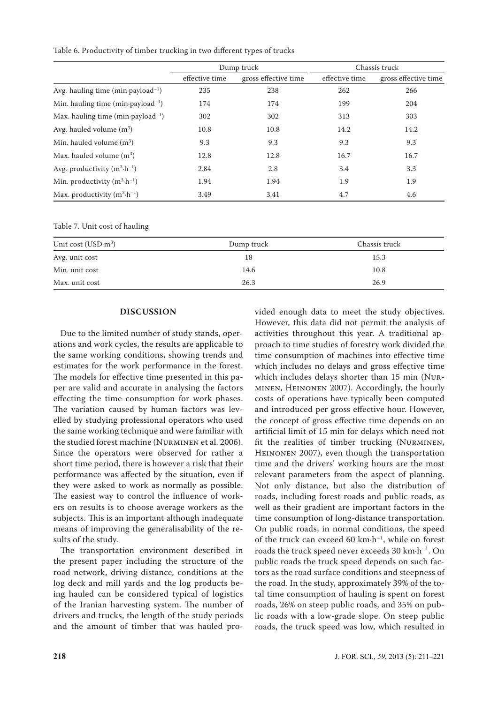Table 6. Productivity of timber trucking in two different types of trucks

|                                                |                | Dump truck           | Chassis truck  |                      |  |
|------------------------------------------------|----------------|----------------------|----------------|----------------------|--|
|                                                | effective time | gross effective time | effective time | gross effective time |  |
| Avg. hauling time (min-payload <sup>-1</sup> ) | 235            | 238                  | 262            | 266                  |  |
| Min. hauling time (min $\text{payload}^{-1}$ ) | 174            | 174                  | 199            | 204                  |  |
| Max. hauling time (min-payload <sup>-1</sup> ) | 302            | 302                  | 313            | 303                  |  |
| Avg. hauled volume $(m^3)$                     | 10.8           | 10.8                 | 14.2           | 14.2                 |  |
| Min. hauled volume $(m^3)$                     | 9.3            | 9.3                  | 9.3            | 9.3                  |  |
| Max. hauled volume $(m^3)$                     | 12.8           | 12.8                 | 16.7           | 16.7                 |  |
| Avg. productivity $(m^3 \cdot h^{-1})$         | 2.84           | 2.8                  | 3.4            | 3.3                  |  |
| Min. productivity $(m^3 \cdot h^{-1})$         | 1.94           | 1.94                 | 1.9            | 1.9                  |  |
| Max. productivity $(m^3 \cdot h^{-1})$         | 3.49           | 3.41                 | 4.7            | 4.6                  |  |

Table 7. Unit cost of hauling

| Unit cost $(USD·m3)$ | Dump truck | Chassis truck |
|----------------------|------------|---------------|
| Avg. unit cost       | 18         | 15.3          |
| Min. unit cost       | 14.6       | 10.8          |
| Max. unit cost       | 26.3       | 26.9          |

## **DISCUSSION**

Due to the limited number of study stands, operations and work cycles, the results are applicable to the same working conditions, showing trends and estimates for the work performance in the forest. The models for effective time presented in this paper are valid and accurate in analysing the factors effecting the time consumption for work phases. The variation caused by human factors was levelled by studying professional operators who used the same working technique and were familiar with the studied forest machine (Nurminen et al. 2006). Since the operators were observed for rather a short time period, there is however a risk that their performance was affected by the situation, even if they were asked to work as normally as possible. The easiest way to control the influence of workers on results is to choose average workers as the subjects. This is an important although inadequate means of improving the generalisability of the results of the study.

The transportation environment described in the present paper including the structure of the road network, driving distance, conditions at the log deck and mill yards and the log products being hauled can be considered typical of logistics of the Iranian harvesting system. The number of drivers and trucks, the length of the study periods and the amount of timber that was hauled provided enough data to meet the study objectives. However, this data did not permit the analysis of activities throughout this year. A traditional approach to time studies of forestry work divided the time consumption of machines into effective time which includes no delays and gross effective time which includes delays shorter than 15 min (Nurminen, Heinonen 2007). Accordingly, the hourly costs of operations have typically been computed and introduced per gross effective hour. However, the concept of gross effective time depends on an artificial limit of 15 min for delays which need not fit the realities of timber trucking (Nurminen, Heinonen 2007), even though the transportation time and the drivers' working hours are the most relevant parameters from the aspect of planning. Not only distance, but also the distribution of roads, including forest roads and public roads, as well as their gradient are important factors in the time consumption of long-distance transportation. On public roads, in normal conditions, the speed of the truck can exceed 60 km·h–1, while on forest roads the truck speed never exceeds  $30 \text{ km} \cdot \text{h}^{-1}$ . On public roads the truck speed depends on such factors as the road surface conditions and steepness of the road. In the study, approximately 39% of the total time consumption of hauling is spent on forest roads, 26% on steep public roads, and 35% on public roads with a low-grade slope. On steep public roads, the truck speed was low, which resulted in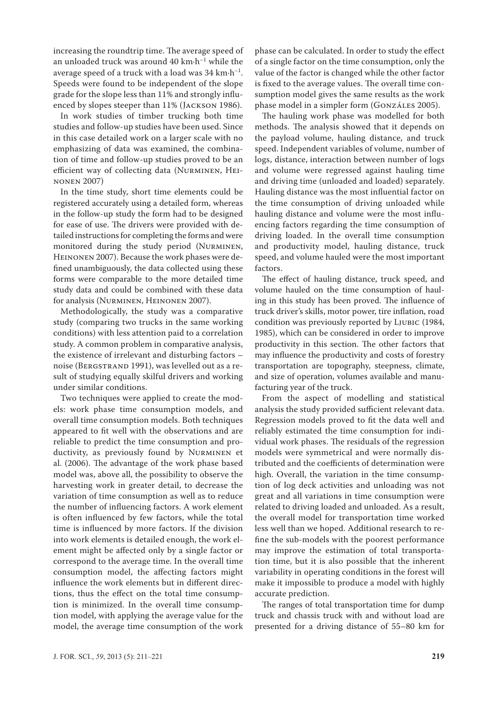increasing the roundtrip time. The average speed of an unloaded truck was around 40  $km \cdot h^{-1}$  while the average speed of a truck with a load was 34 km·h–1. Speeds were found to be independent of the slope grade for the slope less than 11% and strongly influenced by slopes steeper than 11% (Jackson 1986).

In work studies of timber trucking both time studies and follow-up studies have been used. Since in this case detailed work on a larger scale with no emphasizing of data was examined, the combination of time and follow-up studies proved to be an efficient way of collecting data (Nurminen, Heinonen 2007)

In the time study, short time elements could be registered accurately using a detailed form, whereas in the follow-up study the form had to be designed for ease of use. The drivers were provided with detailed instructions for completing the forms and were monitored during the study period (Nurminen, Heinonen 2007). Because the work phases were defined unambiguously, the data collected using these forms were comparable to the more detailed time study data and could be combined with these data for analysis (Nurminen, Heinonen 2007).

Methodologically, the study was a comparative study (comparing two trucks in the same working conditions) with less attention paid to a correlation study. A common problem in comparative analysis, the existence of irrelevant and disturbing factors – noise (BERGSTRAND 1991), was levelled out as a result of studying equally skilful drivers and working under similar conditions.

Two techniques were applied to create the models: work phase time consumption models, and overall time consumption models. Both techniques appeared to fit well with the observations and are reliable to predict the time consumption and productivity, as previously found by Nurminen et al. (2006). The advantage of the work phase based model was, above all, the possibility to observe the harvesting work in greater detail, to decrease the variation of time consumption as well as to reduce the number of influencing factors. A work element is often influenced by few factors, while the total time is influenced by more factors. If the division into work elements is detailed enough, the work element might be affected only by a single factor or correspond to the average time. In the overall time consumption model, the affecting factors might influence the work elements but in different directions, thus the effect on the total time consumption is minimized. In the overall time consumption model, with applying the average value for the model, the average time consumption of the work

phase can be calculated. In order to study the effect of a single factor on the time consumption, only the value of the factor is changed while the other factor is fixed to the average values. The overall time consumption model gives the same results as the work phase model in a simpler form (Gonzáles 2005).

The hauling work phase was modelled for both methods. The analysis showed that it depends on the payload volume, hauling distance, and truck speed. Independent variables of volume, number of logs, distance, interaction between number of logs and volume were regressed against hauling time and driving time (unloaded and loaded) separately. Hauling distance was the most influential factor on the time consumption of driving unloaded while hauling distance and volume were the most influencing factors regarding the time consumption of driving loaded. In the overall time consumption and productivity model, hauling distance, truck speed, and volume hauled were the most important factors.

The effect of hauling distance, truck speed, and volume hauled on the time consumption of hauling in this study has been proved. The influence of truck driver's skills, motor power, tire inflation, road condition was previously reported by Ljubic (1984, 1985), which can be considered in order to improve productivity in this section. The other factors that may influence the productivity and costs of forestry transportation are topography, steepness, climate, and size of operation, volumes available and manufacturing year of the truck.

From the aspect of modelling and statistical analysis the study provided sufficient relevant data. Regression models proved to fit the data well and reliably estimated the time consumption for individual work phases. The residuals of the regression models were symmetrical and were normally distributed and the coefficients of determination were high. Overall, the variation in the time consumption of log deck activities and unloading was not great and all variations in time consumption were related to driving loaded and unloaded. As a result, the overall model for transportation time worked less well than we hoped. Additional research to refine the sub-models with the poorest performance may improve the estimation of total transportation time, but it is also possible that the inherent variability in operating conditions in the forest will make it impossible to produce a model with highly accurate prediction.

The ranges of total transportation time for dump truck and chassis truck with and without load are presented for a driving distance of 55–80 km for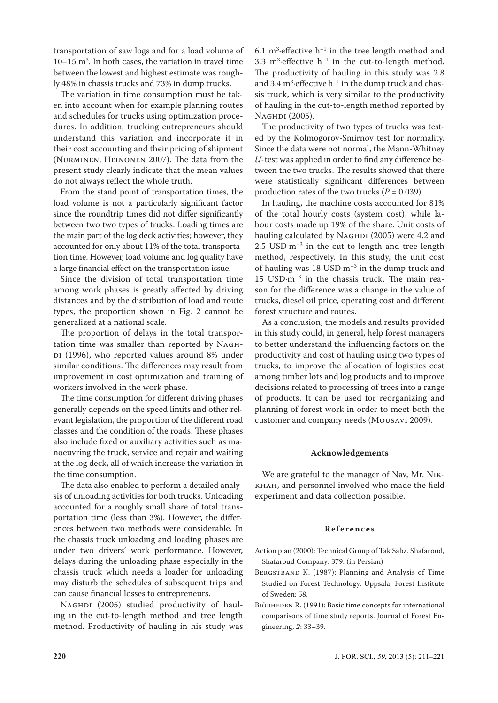transportation of saw logs and for a load volume of  $10-15$  m<sup>3</sup>. In both cases, the variation in travel time between the lowest and highest estimate was roughly 48% in chassis trucks and 73% in dump trucks.

The variation in time consumption must be taken into account when for example planning routes and schedules for trucks using optimization procedures. In addition, trucking entrepreneurs should understand this variation and incorporate it in their cost accounting and their pricing of shipment (Nurminen, Heinonen 2007). The data from the present study clearly indicate that the mean values do not always reflect the whole truth.

From the stand point of transportation times, the load volume is not a particularly significant factor since the roundtrip times did not differ significantly between two two types of trucks. Loading times are the main part of the log deck activities; however, they accounted for only about 11% of the total transportation time. However, load volume and log quality have a large financial effect on the transportation issue.

Since the division of total transportation time among work phases is greatly affected by driving distances and by the distribution of load and route types, the proportion shown in Fig. 2 cannot be generalized at a national scale.

The proportion of delays in the total transportation time was smaller than reported by Nagh-DI (1996), who reported values around 8% under similar conditions. The differences may result from improvement in cost optimization and training of workers involved in the work phase.

The time consumption for different driving phases generally depends on the speed limits and other relevant legislation, the proportion of the different road classes and the condition of the roads. These phases also include fixed or auxiliary activities such as manoeuvring the truck, service and repair and waiting at the log deck, all of which increase the variation in the time consumption.

The data also enabled to perform a detailed analysis of unloading activities for both trucks. Unloading accounted for a roughly small share of total transportation time (less than 3%). However, the differences between two methods were considerable. In the chassis truck unloading and loading phases are under two drivers' work performance. However, delays during the unloading phase especially in the chassis truck which needs a loader for unloading may disturb the schedules of subsequent trips and can cause financial losses to entrepreneurs.

NAGHDI (2005) studied productivity of hauling in the cut-to-length method and tree length method. Productivity of hauling in his study was

 $6.1 \text{ m}^3$ -effective  $h^{-1}$  in the tree length method and 3.3 m<sup>3</sup> effective  $h^{-1}$  in the cut-to-length method. The productivity of hauling in this study was 2.8 and  $3.4 \text{ m}^3$ -effective h<sup>-1</sup> in the dump truck and chassis truck, which is very similar to the productivity of hauling in the cut-to-length method reported by NAGHDI (2005).

The productivity of two types of trucks was tested by the Kolmogorov-Smirnov test for normality. Since the data were not normal, the Mann-Whitney *U*-test was applied in order to find any difference between the two trucks. The results showed that there were statistically significant differences between production rates of the two trucks  $(P = 0.039)$ .

In hauling, the machine costs accounted for 81% of the total hourly costs (system cost), while labour costs made up 19% of the share. Unit costs of hauling calculated by NAGHDI (2005) were 4.2 and 2.5 USD·m–3 in the cut-to-length and tree length method, respectively. In this study, the unit cost of hauling was 18 USD·m–3 in the dump truck and 15 USD·m–3 in the chassis truck. The main reason for the difference was a change in the value of trucks, diesel oil price, operating cost and different forest structure and routes.

As a conclusion, the models and results provided in this study could, in general, help forest managers to better understand the influencing factors on the productivity and cost of hauling using two types of trucks, to improve the allocation of logistics cost among timber lots and log products and to improve decisions related to processing of trees into a range of products. It can be used for reorganizing and planning of forest work in order to meet both the customer and company needs (Mousavi 2009).

## **Acknowledgements**

We are grateful to the manager of Nav, Mr. Nikkhah, and personnel involved who made the field experiment and data collection possible.

#### **References**

- Action plan (2000): Technical Group of Tak Sabz. Shafaroud, Shafaroud Company: 379. (in Persian)
- Bergstrand K. (1987): Planning and Analysis of Time Studied on Forest Technology. Uppsala, Forest Institute of Sweden: 58.
- BJÖRHEDEN R. (1991): Basic time concepts for international comparisons of time study reports. Journal of Forest Engineering, *2*: 33–39.